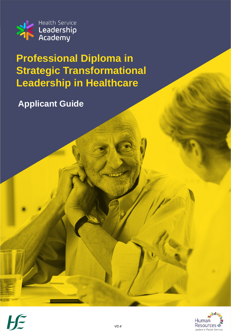

**Professional Diploma in Strategic Transformational Leadership in Healthcare**

**Applicant Guide**

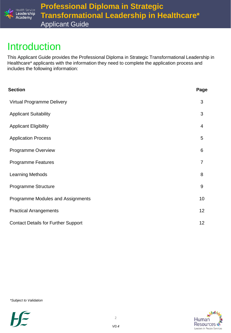

### Introduction

This Applicant Guide provides the Professional Diploma in Strategic Transformational Leadership in Healthcare\* applicants with the information they need to complete the application process and includes the following information:

| <b>Section</b>                             | Page           |
|--------------------------------------------|----------------|
| Virtual Programme Delivery                 | 3              |
| <b>Applicant Suitability</b>               | 3              |
| <b>Applicant Eligibility</b>               | 4              |
| <b>Application Process</b>                 | 5              |
| Programme Overview                         | 6              |
| <b>Programme Features</b>                  | $\overline{7}$ |
| <b>Learning Methods</b>                    | 8              |
| Programme Structure                        | 9              |
| Programme Modules and Assignments          | 10             |
| <b>Practical Arrangements</b>              | 12             |
| <b>Contact Details for Further Support</b> | 12             |

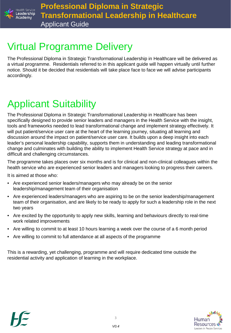

## Virtual Programme Delivery

The Professional Diploma in Strategic Transformational Leadership in Healthcare will be delivered as a virtual programme. Residentials referred to in this applicant guide will happen virtually until further notice. Should it be decided that residentials will take place face to face we will advise participants accordingly.

# Applicant Suitability

The Professional Diploma in Strategic Transformational Leadership in Healthcare has been specifically designed to provide senior leaders and managers in the Health Service with the insight, tools and frameworks needed to lead transformational change and implement strategy effectively. It will put patient/service user care at the heart of the learning journey, situating all learning and discussion around the impact on patient/service user care. It builds upon a deep insight into each leader's personal leadership capability, supports them in understanding and leading transformational change and culminates with building the ability to implement Health Service strategy at pace and in difficult and challenging circumstances.

The programme takes places over six months and is for clinical and non-clinical colleagues within the health service who are experienced senior leaders and managers looking to progress their careers.

It is aimed at those who:

- Are experienced senior leaders/managers who may already be on the senior leadership/management team of their organisation
- Are experienced leaders/managers who are aspiring to be on the senior leadership/management team of their organisation, and are likely to be ready to apply for such a leadership role in the next two years
- Are excited by the opportunity to apply new skills, learning and behaviours directly to real-time work related improvements
- Are willing to commit to at least 10 hours learning a week over the course of a 6 month period
- Are willing to commit to full attendance at all aspects of the programme

This is a rewarding, yet challenging, programme and will require dedicated time outside the residential activity and application of learning in the workplace.



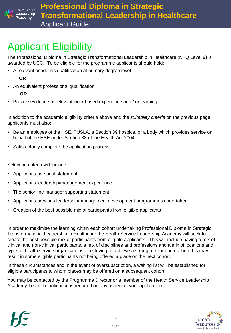

# Applicant Eligibility

The Professional Diploma in Strategic Transformational Leadership in Healthcare (NFQ Level 9) is awarded by UCC. To be eligible for the programme applicants should hold:

• A relevant academic qualification at primary degree level

### **OR**

• An equivalent professional qualification

### **OR**

• Provide evidence of relevant work based experience and / or learning

In addition to the academic eligibility criteria above and the *suitability criteria* on the previous page, applicants must also:

- Be an employee of the HSE, TUSLA, a Section 39 hospice, or a body which provides service on behalf of the HSE under Section 38 of the Health Act 2004
- Satisfactorily complete the application process

Selection criteria will include:

- Applicant's personal statement
- Applicant's leadership/management experience
- The senior line manager supporting statement
- Applicant's previous leadership/management development programmes undertaken
- Creation of the best possible mix of participants from eligible applicants

In order to maximise the learning within each cohort undertaking Professional Diploma in Strategic Transformational Leadership in Healthcare the Health Service Leadership Academy will seek to create the best possible mix of participants from eligible applicants. This will include having a mix of clinical and non-clinical participants, a mix of disciplines and professions and a mix of locations and types of health service organisations. In striving to achieve a strong mix for each cohort this may result in some eligible participants not being offered a place on the next cohort.

In these circumstances and in the event of oversubscription, a waiting list will be established for eligible participants to whom places may be offered on a subsequent cohort.

You may be contacted by the Programme Director or a member of the Health Service Leadership Academy Team if clarification is required on any aspect of your application.



 $\Delta$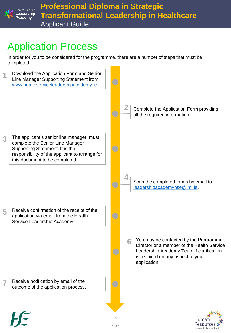

# Application Process

In order for you to be considered for the programme, there are a number of steps that must be completed:



Leaders in People Services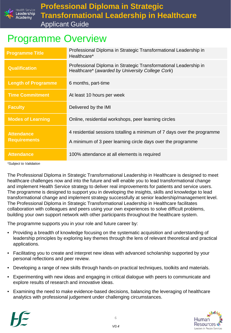

### Programme Overview

| <b>Programme Title</b>     | Professional Diploma in Strategic Transformational Leadership in<br>Healthcare*                                      |
|----------------------------|----------------------------------------------------------------------------------------------------------------------|
| <b>Qualification</b>       | Professional Diploma in Strategic Transformational Leadership in<br>Healthcare* (awarded by University College Cork) |
| <b>Length of Programme</b> | 6 months, part-time                                                                                                  |
| <b>Time Commitment</b>     | At least 10 hours per week                                                                                           |
| <b>Faculty</b>             | Delivered by the IMI                                                                                                 |
| <b>Modes of Learning</b>   | Online, residential workshops, peer learning circles                                                                 |
| <b>Attendance</b>          | 4 residential sessions totalling a minimum of 7 days over the programme                                              |
| <b>Requirements</b>        | A minimum of 3 peer learning circle days over the programme                                                          |
| <b>Attendance</b>          | 100% attendance at all elements is required                                                                          |

*\*Subject to Validation*

The Professional Diploma in Strategic Transformational Leadership in Healthcare is designed to meet healthcare challenges now and into the future and will enable you to lead transformational change and implement Health Service strategy to deliver real improvements for patients and service users. The programme is designed to support you in developing the insights, skills and knowledge to lead transformational change and implement strategy successfully at senior leadership/management level. The Professional Diploma in Strategic Transformational Leadership in Healthcare facilitates collaboration with colleagues and peers using your own experiences to solve difficult problems, building your own support network with other participants throughout the healthcare system.

The programme supports you in your role and future career by:

- Providing a breadth of knowledge focusing on the systematic acquisition and understanding of leadership principles by exploring key themes through the lens of relevant theoretical and practical applications.
- Facilitating you to create and interpret new ideas with advanced scholarship supported by your personal reflections and peer review.
- Developing a range of new skills through hands-on practical techniques, toolkits and materials.
- Experimenting with new ideas and engaging in critical dialogue with peers to communicate and explore results of research and innovative ideas.
- Examining the need to make evidence-based decisions, balancing the leveraging of healthcare analytics with professional judgement under challenging circumstances.



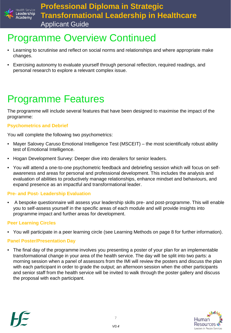

### Programme Overview Continued

- Learning to scrutinise and reflect on social norms and relationships and where appropriate make changes.
- Exercising autonomy to evaluate yourself through personal reflection, required readings, and personal research to explore a relevant complex issue.

# Programme Features

The programme will include several features that have been designed to maximise the impact of the programme:

#### **Psychometrics and Debrief**

You will complete the following two psychometrics:

- Mayer Salovey Caruso Emotional Intelligence Test (MSCEIT) the most scientifically robust ability test of Emotional Intelligence.
- Hogan Development Survey: Deeper dive into derailers for senior leaders.
- You will attend a one-to-one psychometric feedback and debriefing session which will focus on selfawareness and areas for personal and professional development. This includes the analysis and evaluation of abilities to productively manage relationships, enhance mindset and behaviours, and expand presence as an impactful and transformational leader.

#### **Pre- and Post- Leadership Evaluation**

• A bespoke questionnaire will assess your leadership skills pre- and post-programme. This will enable you to self-assess yourself in the specific areas of each module and will provide insights into programme impact and further areas for development.

#### **Peer Learning Circles**

• You will participate in a peer learning circle (see Learning Methods on page 8 for further information).

#### **Panel Poster/Presentation Day**

• The final day of the programme involves you presenting a poster of your plan for an implementable transformational change in your area of the health service. The day will be split into two parts: a morning session when a panel of assessors from the IMI will review the posters and discuss the plan with each participant in order to grade the output; an afternoon session when the other participants and senior staff from the health service will be invited to walk through the poster gallery and discuss the proposal with each participant.



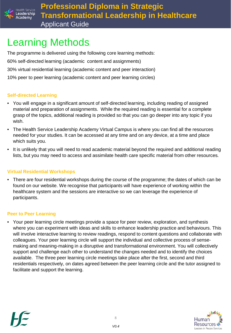

# Learning Methods

The programme is delivered using the following core learning methods: 60% self-directed learning (academic content and assignments) 30% virtual residential learning (academic content and peer interaction) 10% peer to peer learning (academic content and peer learning circles)

#### **Self-directed Learning**

- You will engage in a significant amount of self-directed learning, including reading of assigned material and preparation of assignments. While the required reading is essential for a complete grasp of the topics, additional reading is provided so that you can go deeper into any topic if you wish.
- The Health Service Leadership Academy Virtual Campus is where you can find all the resources needed for your studies. It can be accessed at any time and on any device, at a time and place which suits you.
- It is unlikely that you will need to read academic material beyond the required and additional reading lists, but you may need to access and assimilate health care specific material from other resources*.*

### **Virtual Residential Workshops**

• There are four residential workshops during the course of the programme; the dates of which can be found on our website. We recognise that participants will have experience of working within the healthcare system and the sessions are interactive so we can leverage the experience of participants.

#### **Peer to Peer Learning**

• Your peer learning circle meetings provide a space for peer review, exploration, and synthesis where you can experiment with ideas and skills to enhance leadership practice and behaviours. This will involve interactive learning to review readings, respond to content questions and collaborate with colleagues. Your peer learning circle will support the individual and collective process of sensemaking and meaning-making in a disruptive and transformational environment. You will collectively support and challenge each other to understand the changes needed and to identify the choices available. The three peer learning circle meetings take place after the first, second and third residentials respectively, on dates agreed between the peer learning circle and the tutor assigned to facilitate and support the learning.



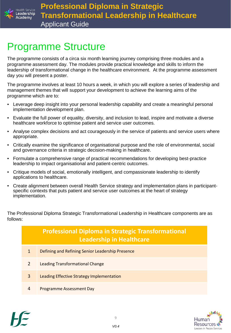

### Programme Structure

The programme consists of a circa six month learning journey comprising three modules and a programme assessment day. The modules provide practical knowledge and skills to inform the leadership of transformational change in the healthcare environment. At the programme assessment day you will present a poster.

The programme involves at least 10 hours a week, in which you will explore a series of leadership and management themes that will support your development to achieve the learning aims of the programme which are to:

- Leverage deep insight into your personal leadership capability and create a meaningful personal implementation development plan.
- Evaluate the full power of equality, diversity, and inclusion to lead, inspire and motivate a diverse healthcare workforce to optimise patient and service user outcomes.
- Analyse complex decisions and act courageously in the service of patients and service users where appropriate.
- Critically examine the significance of organisational purpose and the role of environmental, social and governance criteria in strategic decision-making in healthcare.
- Formulate a comprehensive range of practical recommendations for developing best-practice leadership to impact organisational and patient-centric outcomes.
- Critique models of social, emotionally intelligent, and compassionate leadership to identify applications to healthcare.
- Create alignment between overall Health Service strategy and implementation plans in participantspecific contexts that puts patient and service user outcomes at the heart of strategy implementation.

The Professional Diploma Strategic Transformational Leadership in Healthcare components are as follows:

| <b>Professional Diploma in Strategic Transformational</b><br><b>Leadership in Healthcare</b> |                                                  |  |  |
|----------------------------------------------------------------------------------------------|--------------------------------------------------|--|--|
| 1                                                                                            | Defining and Refining Senior Leadership Presence |  |  |
| $\mathcal{P}$                                                                                | Leading Transformational Change                  |  |  |
| 3                                                                                            | Leading Effective Strategy Implementation        |  |  |
| 4                                                                                            | <b>Programme Assessment Day</b>                  |  |  |



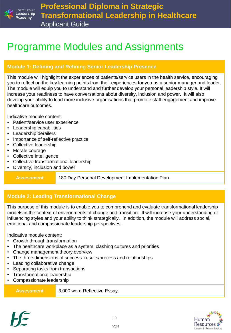

### Programme Modules and Assignments

### **Module 1: Defining and Refining Senior Leadership Presence**

This module will highlight the experiences of patients/service users in the health service, encouraging you to reflect on the key learning points from their experiences for you as a senior manager and leader. The module will equip you to understand and further develop your personal leadership style. It will increase your readiness to have conversations about diversity, inclusion and power. It will also develop your ability to lead more inclusive organisations that promote staff engagement and improve healthcare outcomes.

Indicative module content:

- Patient/service user experience
- Leadership capabilities
- Leadership derailers
- Importance of self-reflective practice
- Collective leadership
- Morale courage
- Collective intelligence
- Collective transformational leadership
- Diversity, inclusion and power

**Assessment** 180 Day Personal Development Implementation Plan.

### **Module 2: Leading Transformational Change**

This purpose of this module is to enable you to comprehend and evaluate transformational leadership models in the context of environments of change and transition. It will increase your understanding of influencing styles and your ability to think strategically. In addition, the module will address social, emotional and compassionate leadership perspectives.

Indicative module content:

- Growth through transformation
- The healthcare workplace as a system: clashing cultures and priorities
- Change management theory overview
- The three dimensions of success: results/process and relationships
- Leading collaborative change
- Separating tasks from transactions
- Transformational leadership
- Compassionate leadership

**Assessment** 3,000 word Reflective Essay.



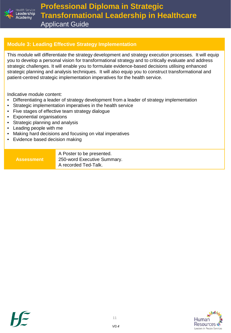

**Professional Diploma in Strategic Transformational Leadership in Healthcare** Applicant Guide

#### **Module 3: Leading Effective Strategy Implementation**

This module will differentiate the strategy development and strategy execution processes. It will equip you to develop a personal vision for transformational strategy and to critically evaluate and address strategic challenges. It will enable you to formulate evidence-based decisions utilising enhanced strategic planning and analysis techniques. It will also equip you to construct transformational and patient-centred strategic implementation imperatives for the health service.

Indicative module content:

- Differentiating a leader of strategy development from a leader of strategy implementation
- Strategic implementation imperatives in the health service
- Five stages of effective team strategy dialogue
- Exponential organisations
- Strategic planning and analysis
- Leading people with me
- Making hard decisions and focusing on vital imperatives
- Evidence based decision making

| <b>Assessment</b> | A Poster to be presented.<br>250-word Executive Summary.<br>A recorded Ted-Talk. |
|-------------------|----------------------------------------------------------------------------------|
|-------------------|----------------------------------------------------------------------------------|